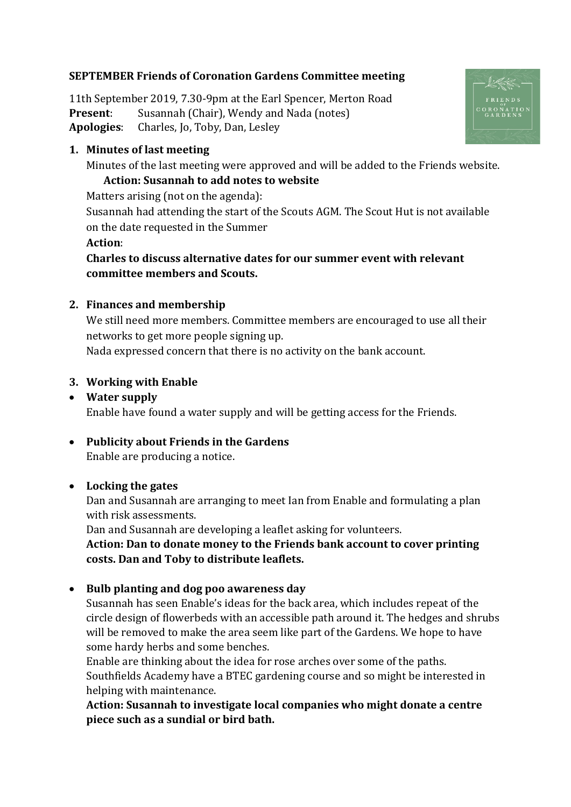# **SEPTEMBER Friends of Coronation Gardens Committee meeting**

11th September 2019, 7.30-9pm at the Earl Spencer, Merton Road **Present**: Susannah (Chair), Wendy and Nada (notes) **Apologies**: Charles, Jo, Toby, Dan, Lesley

#### **1. Minutes of last meeting**

Minutes of the last meeting were approved and will be added to the Friends website.

### **Action: Susannah to add notes to website**

Matters arising (not on the agenda): Susannah had attending the start of the Scouts AGM. The Scout Hut is not available on the date requested in the Summer **Action**:

**Charles to discuss alternative dates for our summer event with relevant committee members and Scouts.**

## **2. Finances and membership**

We still need more members. Committee members are encouraged to use all their networks to get more people signing up. Nada expressed concern that there is no activity on the bank account.

#### **3. Working with Enable**

#### • **Water supply**

Enable have found a water supply and will be getting access for the Friends.

# • **Publicity about Friends in the Gardens**

Enable are producing a notice.

#### • **Locking the gates**

Dan and Susannah are arranging to meet Ian from Enable and formulating a plan with risk assessments.

Dan and Susannah are developing a leaflet asking for volunteers.

**Action: Dan to donate money to the Friends bank account to cover printing costs. Dan and Toby to distribute leaflets.**

#### • **Bulb planting and dog poo awareness day**

Susannah has seen Enable's ideas for the back area, which includes repeat of the circle design of flowerbeds with an accessible path around it. The hedges and shrubs will be removed to make the area seem like part of the Gardens. We hope to have some hardy herbs and some benches.

Enable are thinking about the idea for rose arches over some of the paths. Southfields Academy have a BTEC gardening course and so might be interested in helping with maintenance.

**Action: Susannah to investigate local companies who might donate a centre piece such as a sundial or bird bath.**